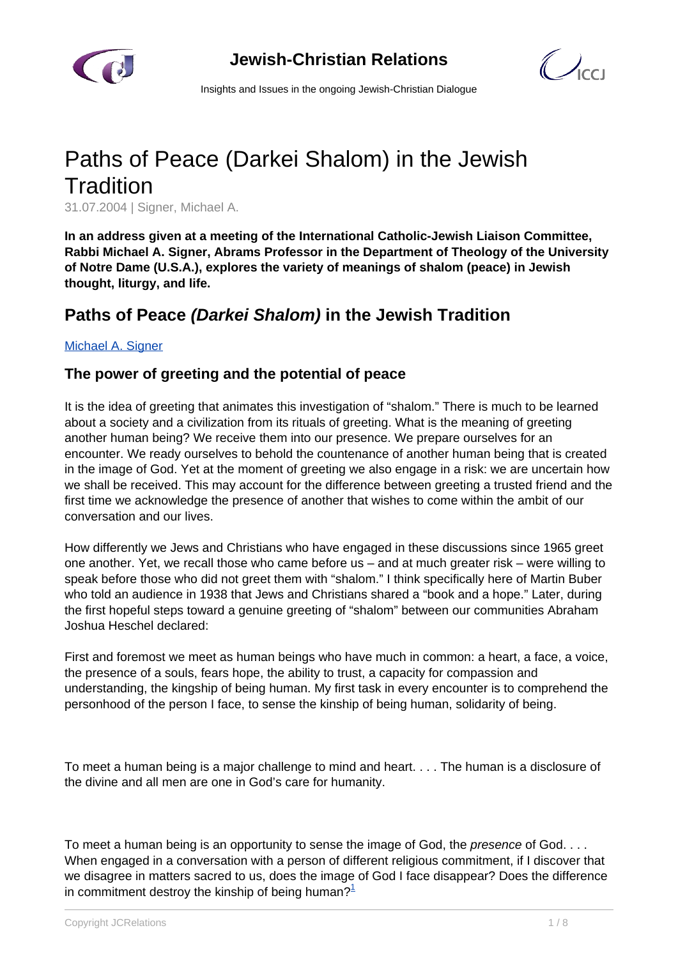

 $\mathcal{C}$ 

Insights and Issues in the ongoing Jewish-Christian Dialogue

# Paths of Peace (Darkei Shalom) in the Jewish **Tradition**

31.07.2004 | Signer, Michael A.

**In an address given at a meeting of the International Catholic-Jewish Liaison Committee, Rabbi Michael A. Signer, Abrams Professor in the Department of Theology of the University of Notre Dame (U.S.A.), explores the variety of meanings of shalom (peace) in Jewish thought, liturgy, and life.**

# **Paths of Peace (Darkei Shalom) in the Jewish Tradition**

#### [Michael A. Signer](/article.html)

#### **The power of greeting and the potential of peace**

It is the idea of greeting that animates this investigation of "shalom." There is much to be learned about a society and a civilization from its rituals of greeting. What is the meaning of greeting another human being? We receive them into our presence. We prepare ourselves for an encounter. We ready ourselves to behold the countenance of another human being that is created in the image of God. Yet at the moment of greeting we also engage in a risk: we are uncertain how we shall be received. This may account for the difference between greeting a trusted friend and the first time we acknowledge the presence of another that wishes to come within the ambit of our conversation and our lives.

How differently we Jews and Christians who have engaged in these discussions since 1965 greet one another. Yet, we recall those who came before us – and at much greater risk – were willing to speak before those who did not greet them with "shalom." I think specifically here of Martin Buber who told an audience in 1938 that Jews and Christians shared a "book and a hope." Later, during the first hopeful steps toward a genuine greeting of "shalom" between our communities Abraham Joshua Heschel declared:

First and foremost we meet as human beings who have much in common: a heart, a face, a voice, the presence of a souls, fears hope, the ability to trust, a capacity for compassion and understanding, the kingship of being human. My first task in every encounter is to comprehend the personhood of the person I face, to sense the kinship of being human, solidarity of being.

To meet a human being is a major challenge to mind and heart. . . . The human is a disclosure of the divine and all men are one in God's care for humanity.

To meet a human being is an opportunity to sense the image of God, the *presence* of God. . . . When engaged in a conversation with a person of different religious commitment, if I discover that we disagree in matters sacred to us, does the image of God I face disappear? Does the difference in commitment destrov the kinship of being human?<sup>1</sup>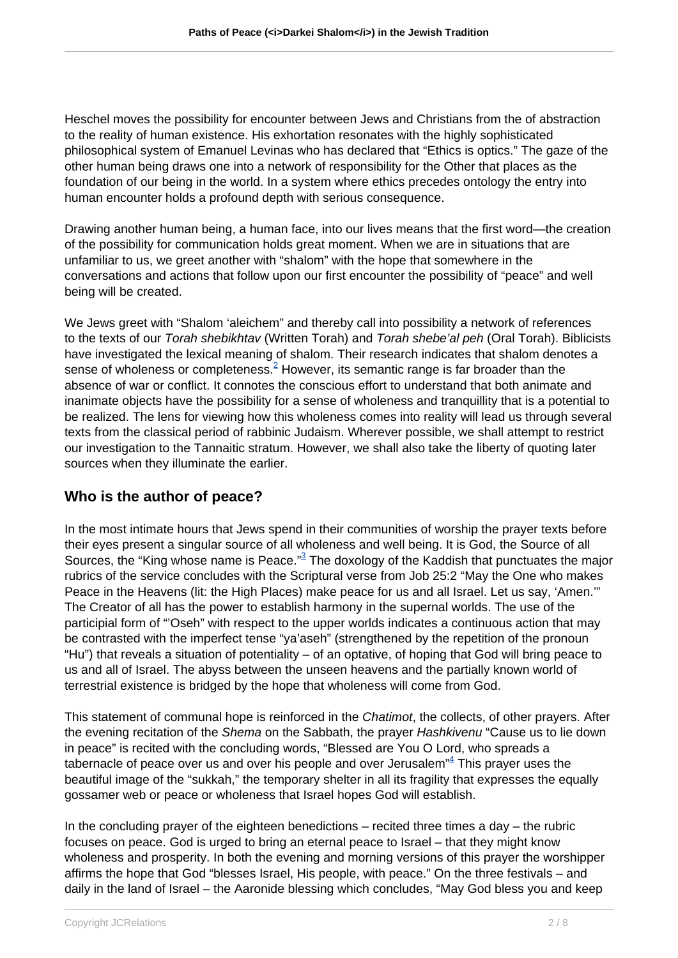Heschel moves the possibility for encounter between Jews and Christians from the of abstraction to the reality of human existence. His exhortation resonates with the highly sophisticated philosophical system of Emanuel Levinas who has declared that "Ethics is optics." The gaze of the other human being draws one into a network of responsibility for the Other that places as the foundation of our being in the world. In a system where ethics precedes ontology the entry into human encounter holds a profound depth with serious consequence.

Drawing another human being, a human face, into our lives means that the first word—the creation of the possibility for communication holds great moment. When we are in situations that are unfamiliar to us, we greet another with "shalom" with the hope that somewhere in the conversations and actions that follow upon our first encounter the possibility of "peace" and well being will be created.

We Jews greet with "Shalom 'aleichem" and thereby call into possibility a network of references to the texts of our Torah shebikhtav (Written Torah) and Torah shebe'al peh (Oral Torah). Biblicists have investigated the lexical meaning of shalom. Their research indicates that shalom denotes a sense of wholeness or completeness. $^2$  However, its semantic range is far broader than the absence of war or conflict. It connotes the conscious effort to understand that both animate and inanimate objects have the possibility for a sense of wholeness and tranquillity that is a potential to be realized. The lens for viewing how this wholeness comes into reality will lead us through several texts from the classical period of rabbinic Judaism. Wherever possible, we shall attempt to restrict our investigation to the Tannaitic stratum. However, we shall also take the liberty of quoting later sources when they illuminate the earlier.

### **Who is the author of peace?**

In the most intimate hours that Jews spend in their communities of worship the prayer texts before their eyes present a singular source of all wholeness and well being. It is God, the Source of all Sources, the "King whose name is Peace."<sup>3</sup> The doxology of the Kaddish that punctuates the major rubrics of the service concludes with the Scriptural verse from Job 25:2 "May the One who makes Peace in the Heavens (lit: the High Places) make peace for us and all Israel. Let us say, 'Amen." The Creator of all has the power to establish harmony in the supernal worlds. The use of the participial form of "'Oseh" with respect to the upper worlds indicates a continuous action that may be contrasted with the imperfect tense "ya'aseh" (strengthened by the repetition of the pronoun "Hu") that reveals a situation of potentiality – of an optative, of hoping that God will bring peace to us and all of Israel. The abyss between the unseen heavens and the partially known world of terrestrial existence is bridged by the hope that wholeness will come from God.

This statement of communal hope is reinforced in the *Chatimot*, the collects, of other prayers. After the evening recitation of the Shema on the Sabbath, the prayer Hashkivenu "Cause us to lie down in peace" is recited with the concluding words, "Blessed are You O Lord, who spreads a tabernacle of peace over us and over his people and over Jerusalem" $\stackrel{\text{\tiny{def}}}{=}$  This prayer uses the beautiful image of the "sukkah," the temporary shelter in all its fragility that expresses the equally gossamer web or peace or wholeness that Israel hopes God will establish.

In the concluding prayer of the eighteen benedictions – recited three times a day – the rubric focuses on peace. God is urged to bring an eternal peace to Israel – that they might know wholeness and prosperity. In both the evening and morning versions of this prayer the worshipper affirms the hope that God "blesses Israel, His people, with peace." On the three festivals – and daily in the land of Israel – the Aaronide blessing which concludes, "May God bless you and keep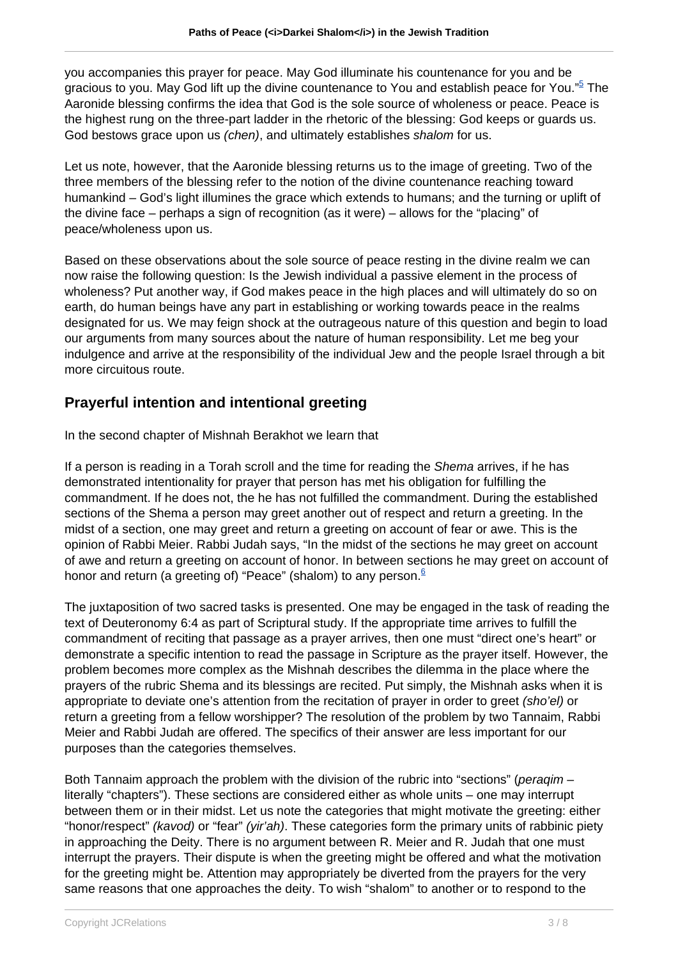you accompanies this prayer for peace. May God illuminate his countenance for you and be gracious to you. May God lift up the divine countenance to You and establish peace for You."<sup>5</sup> The Aaronide blessing confirms the idea that God is the sole source of wholeness or peace. Peace is the highest rung on the three-part ladder in the rhetoric of the blessing: God keeps or guards us. God bestows grace upon us *(chen)*, and ultimately establishes *shalom* for us.

Let us note, however, that the Aaronide blessing returns us to the image of greeting. Two of the three members of the blessing refer to the notion of the divine countenance reaching toward humankind – God's light illumines the grace which extends to humans; and the turning or uplift of the divine face – perhaps a sign of recognition (as it were) – allows for the "placing" of peace/wholeness upon us.

Based on these observations about the sole source of peace resting in the divine realm we can now raise the following question: Is the Jewish individual a passive element in the process of wholeness? Put another way, if God makes peace in the high places and will ultimately do so on earth, do human beings have any part in establishing or working towards peace in the realms designated for us. We may feign shock at the outrageous nature of this question and begin to load our arguments from many sources about the nature of human responsibility. Let me beg your indulgence and arrive at the responsibility of the individual Jew and the people Israel through a bit more circuitous route.

# **Prayerful intention and intentional greeting**

In the second chapter of Mishnah Berakhot we learn that

If a person is reading in a Torah scroll and the time for reading the Shema arrives, if he has demonstrated intentionality for prayer that person has met his obligation for fulfilling the commandment. If he does not, the he has not fulfilled the commandment. During the established sections of the Shema a person may greet another out of respect and return a greeting. In the midst of a section, one may greet and return a greeting on account of fear or awe. This is the opinion of Rabbi Meier. Rabbi Judah says, "In the midst of the sections he may greet on account of awe and return a greeting on account of honor. In between sections he may greet on account of honor and return (a greeting of) "Peace" (shalom) to any person. $6$ 

The juxtaposition of two sacred tasks is presented. One may be engaged in the task of reading the text of Deuteronomy 6:4 as part of Scriptural study. If the appropriate time arrives to fulfill the commandment of reciting that passage as a prayer arrives, then one must "direct one's heart" or demonstrate a specific intention to read the passage in Scripture as the prayer itself. However, the problem becomes more complex as the Mishnah describes the dilemma in the place where the prayers of the rubric Shema and its blessings are recited. Put simply, the Mishnah asks when it is appropriate to deviate one's attention from the recitation of prayer in order to greet (sho'el) or return a greeting from a fellow worshipper? The resolution of the problem by two Tannaim, Rabbi Meier and Rabbi Judah are offered. The specifics of their answer are less important for our purposes than the categories themselves.

Both Tannaim approach the problem with the division of the rubric into "sections" (peragim – literally "chapters"). These sections are considered either as whole units – one may interrupt between them or in their midst. Let us note the categories that might motivate the greeting: either "honor/respect" (kavod) or "fear" (yir'ah). These categories form the primary units of rabbinic piety in approaching the Deity. There is no argument between R. Meier and R. Judah that one must interrupt the prayers. Their dispute is when the greeting might be offered and what the motivation for the greeting might be. Attention may appropriately be diverted from the prayers for the very same reasons that one approaches the deity. To wish "shalom" to another or to respond to the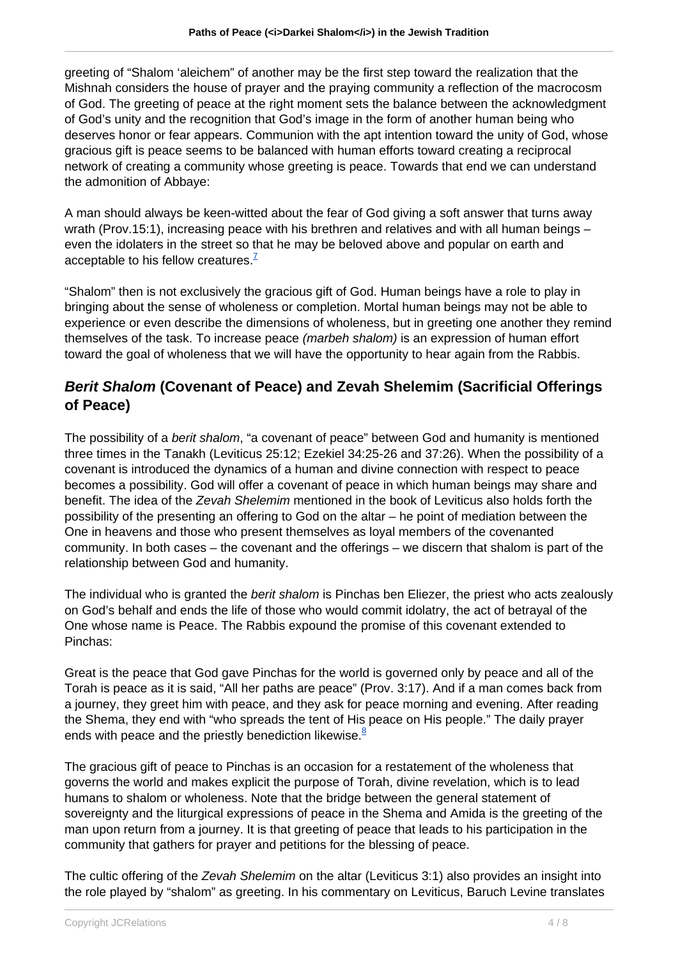greeting of "Shalom 'aleichem" of another may be the first step toward the realization that the Mishnah considers the house of prayer and the praying community a reflection of the macrocosm of God. The greeting of peace at the right moment sets the balance between the acknowledgment of God's unity and the recognition that God's image in the form of another human being who deserves honor or fear appears. Communion with the apt intention toward the unity of God, whose gracious gift is peace seems to be balanced with human efforts toward creating a reciprocal network of creating a community whose greeting is peace. Towards that end we can understand the admonition of Abbaye:

A man should always be keen-witted about the fear of God giving a soft answer that turns away wrath (Prov.15:1), increasing peace with his brethren and relatives and with all human beings – even the idolaters in the street so that he may be beloved above and popular on earth and acceptable to his fellow creatures. $<sup>7</sup>$ </sup>

"Shalom" then is not exclusively the gracious gift of God. Human beings have a role to play in bringing about the sense of wholeness or completion. Mortal human beings may not be able to experience or even describe the dimensions of wholeness, but in greeting one another they remind themselves of the task. To increase peace (marbeh shalom) is an expression of human effort toward the goal of wholeness that we will have the opportunity to hear again from the Rabbis.

## **Berit Shalom (Covenant of Peace) and Zevah Shelemim (Sacrificial Offerings of Peace)**

The possibility of a berit shalom, "a covenant of peace" between God and humanity is mentioned three times in the Tanakh (Leviticus 25:12; Ezekiel 34:25-26 and 37:26). When the possibility of a covenant is introduced the dynamics of a human and divine connection with respect to peace becomes a possibility. God will offer a covenant of peace in which human beings may share and benefit. The idea of the Zevah Shelemim mentioned in the book of Leviticus also holds forth the possibility of the presenting an offering to God on the altar – he point of mediation between the One in heavens and those who present themselves as loyal members of the covenanted community. In both cases – the covenant and the offerings – we discern that shalom is part of the relationship between God and humanity.

The individual who is granted the *berit shalom* is Pinchas ben Eliezer, the priest who acts zealously on God's behalf and ends the life of those who would commit idolatry, the act of betrayal of the One whose name is Peace. The Rabbis expound the promise of this covenant extended to Pinchas:

Great is the peace that God gave Pinchas for the world is governed only by peace and all of the Torah is peace as it is said, "All her paths are peace" (Prov. 3:17). And if a man comes back from a journey, they greet him with peace, and they ask for peace morning and evening. After reading the Shema, they end with "who spreads the tent of His peace on His people." The daily prayer ends with peace and the priestly benediction likewise. $8$ 

The gracious gift of peace to Pinchas is an occasion for a restatement of the wholeness that governs the world and makes explicit the purpose of Torah, divine revelation, which is to lead humans to shalom or wholeness. Note that the bridge between the general statement of sovereignty and the liturgical expressions of peace in the Shema and Amida is the greeting of the man upon return from a journey. It is that greeting of peace that leads to his participation in the community that gathers for prayer and petitions for the blessing of peace.

The cultic offering of the Zevah Shelemim on the altar (Leviticus 3:1) also provides an insight into the role played by "shalom" as greeting. In his commentary on Leviticus, Baruch Levine translates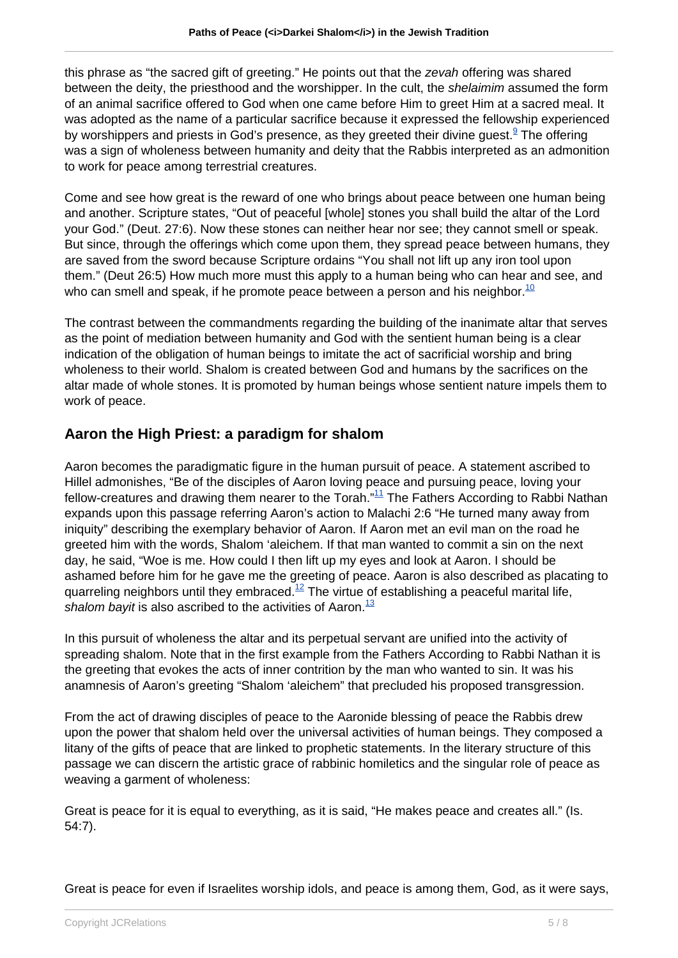this phrase as "the sacred gift of greeting." He points out that the zevah offering was shared between the deity, the priesthood and the worshipper. In the cult, the shelaimim assumed the form of an animal sacrifice offered to God when one came before Him to greet Him at a sacred meal. It was adopted as the name of a particular sacrifice because it expressed the fellowship experienced by worshippers and priests in God's presence, as they greeted their divine guest. $^\mathrm{\scriptscriptstyle g}$  The offering was a sign of wholeness between humanity and deity that the Rabbis interpreted as an admonition to work for peace among terrestrial creatures.

Come and see how great is the reward of one who brings about peace between one human being and another. Scripture states, "Out of peaceful [whole] stones you shall build the altar of the Lord your God." (Deut. 27:6). Now these stones can neither hear nor see; they cannot smell or speak. But since, through the offerings which come upon them, they spread peace between humans, they are saved from the sword because Scripture ordains "You shall not lift up any iron tool upon them." (Deut 26:5) How much more must this apply to a human being who can hear and see, and who can smell and speak, if he promote peace between a person and his neighbor.<sup>10</sup>

The contrast between the commandments regarding the building of the inanimate altar that serves as the point of mediation between humanity and God with the sentient human being is a clear indication of the obligation of human beings to imitate the act of sacrificial worship and bring wholeness to their world. Shalom is created between God and humans by the sacrifices on the altar made of whole stones. It is promoted by human beings whose sentient nature impels them to work of peace.

### **Aaron the High Priest: a paradigm for shalom**

Aaron becomes the paradigmatic figure in the human pursuit of peace. A statement ascribed to Hillel admonishes, "Be of the disciples of Aaron loving peace and pursuing peace, loving your fellow-creatures and drawing them nearer to the Torah."11 The Fathers According to Rabbi Nathan expands upon this passage referring Aaron's action to Malachi 2:6 "He turned many away from iniquity" describing the exemplary behavior of Aaron. If Aaron met an evil man on the road he greeted him with the words, Shalom 'aleichem. If that man wanted to commit a sin on the next day, he said, "Woe is me. How could I then lift up my eyes and look at Aaron. I should be ashamed before him for he gave me the greeting of peace. Aaron is also described as placating to quarreling neighbors until they embraced.<sup>12</sup> The virtue of establishing a peaceful marital life, shalom bayit is also ascribed to the activities of Aaron. $\frac{13}{2}$ 

In this pursuit of wholeness the altar and its perpetual servant are unified into the activity of spreading shalom. Note that in the first example from the Fathers According to Rabbi Nathan it is the greeting that evokes the acts of inner contrition by the man who wanted to sin. It was his anamnesis of Aaron's greeting "Shalom 'aleichem" that precluded his proposed transgression.

From the act of drawing disciples of peace to the Aaronide blessing of peace the Rabbis drew upon the power that shalom held over the universal activities of human beings. They composed a litany of the gifts of peace that are linked to prophetic statements. In the literary structure of this passage we can discern the artistic grace of rabbinic homiletics and the singular role of peace as weaving a garment of wholeness:

Great is peace for it is equal to everything, as it is said, "He makes peace and creates all." (Is. 54:7).

Great is peace for even if Israelites worship idols, and peace is among them, God, as it were says,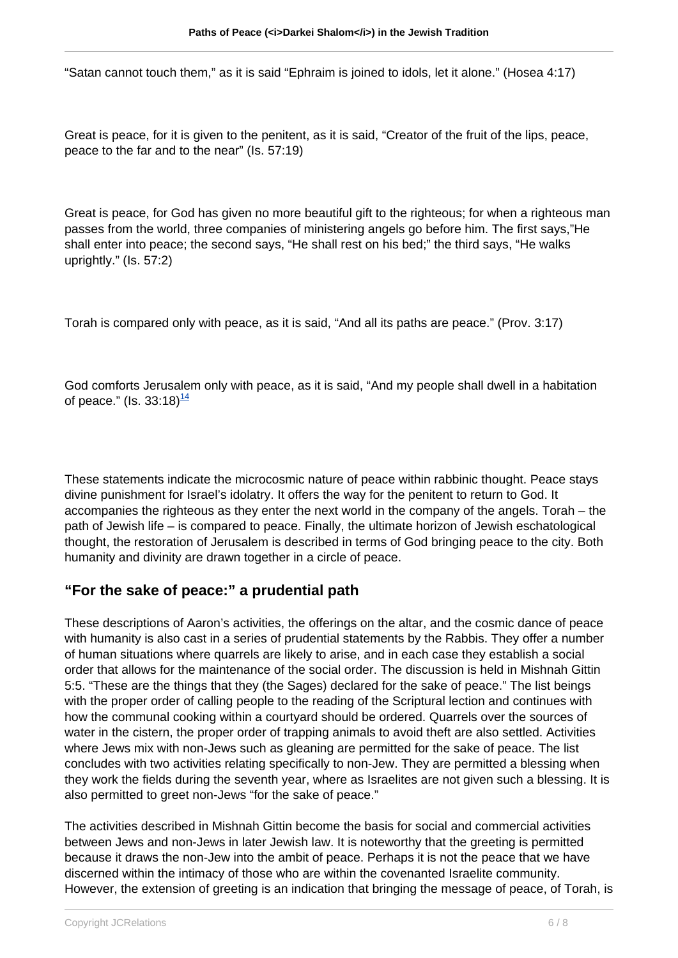"Satan cannot touch them," as it is said "Ephraim is joined to idols, let it alone." (Hosea 4:17)

Great is peace, for it is given to the penitent, as it is said, "Creator of the fruit of the lips, peace, peace to the far and to the near" (Is. 57:19)

Great is peace, for God has given no more beautiful gift to the righteous; for when a righteous man passes from the world, three companies of ministering angels go before him. The first says,"He shall enter into peace; the second says, "He shall rest on his bed;" the third says, "He walks uprightly." (Is. 57:2)

Torah is compared only with peace, as it is said, "And all its paths are peace." (Prov. 3:17)

God comforts Jerusalem only with peace, as it is said, "And my people shall dwell in a habitation of peace." (Is. 33:18) $\frac{14}{1}$ 

These statements indicate the microcosmic nature of peace within rabbinic thought. Peace stays divine punishment for Israel's idolatry. It offers the way for the penitent to return to God. It accompanies the righteous as they enter the next world in the company of the angels. Torah – the path of Jewish life – is compared to peace. Finally, the ultimate horizon of Jewish eschatological thought, the restoration of Jerusalem is described in terms of God bringing peace to the city. Both humanity and divinity are drawn together in a circle of peace.

#### **"For the sake of peace:" a prudential path**

These descriptions of Aaron's activities, the offerings on the altar, and the cosmic dance of peace with humanity is also cast in a series of prudential statements by the Rabbis. They offer a number of human situations where quarrels are likely to arise, and in each case they establish a social order that allows for the maintenance of the social order. The discussion is held in Mishnah Gittin 5:5. "These are the things that they (the Sages) declared for the sake of peace." The list beings with the proper order of calling people to the reading of the Scriptural lection and continues with how the communal cooking within a courtyard should be ordered. Quarrels over the sources of water in the cistern, the proper order of trapping animals to avoid theft are also settled. Activities where Jews mix with non-Jews such as gleaning are permitted for the sake of peace. The list concludes with two activities relating specifically to non-Jew. They are permitted a blessing when they work the fields during the seventh year, where as Israelites are not given such a blessing. It is also permitted to greet non-Jews "for the sake of peace."

The activities described in Mishnah Gittin become the basis for social and commercial activities between Jews and non-Jews in later Jewish law. It is noteworthy that the greeting is permitted because it draws the non-Jew into the ambit of peace. Perhaps it is not the peace that we have discerned within the intimacy of those who are within the covenanted Israelite community. However, the extension of greeting is an indication that bringing the message of peace, of Torah, is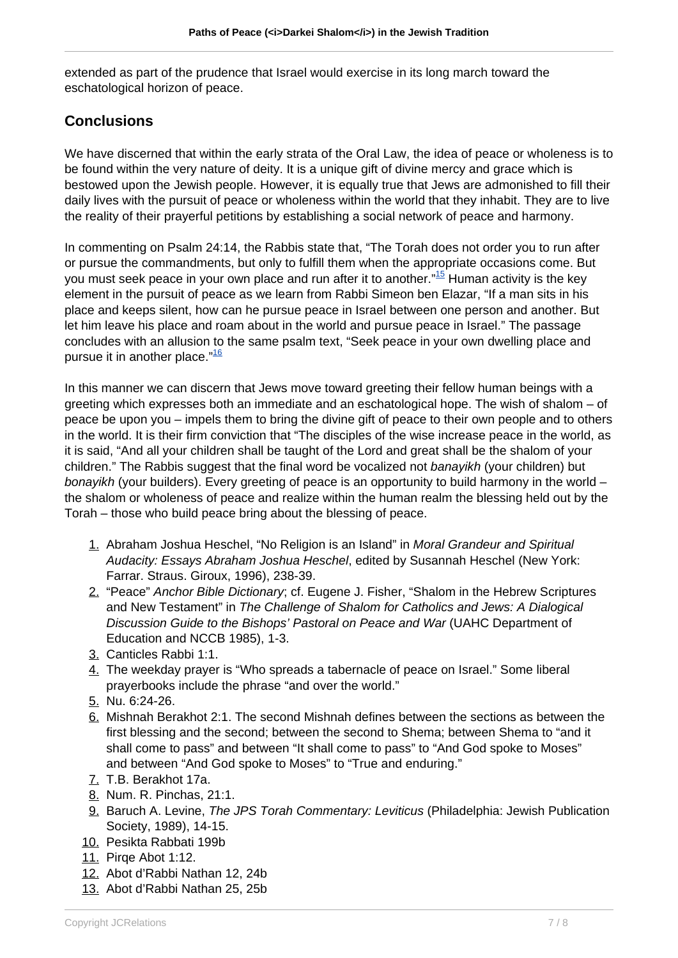extended as part of the prudence that Israel would exercise in its long march toward the eschatological horizon of peace.

#### **Conclusions**

We have discerned that within the early strata of the Oral Law, the idea of peace or wholeness is to be found within the very nature of deity. It is a unique gift of divine mercy and grace which is bestowed upon the Jewish people. However, it is equally true that Jews are admonished to fill their daily lives with the pursuit of peace or wholeness within the world that they inhabit. They are to live the reality of their prayerful petitions by establishing a social network of peace and harmony.

In commenting on Psalm 24:14, the Rabbis state that, "The Torah does not order you to run after or pursue the commandments, but only to fulfill them when the appropriate occasions come. But you must seek peace in your own place and run after it to another."<sup>15</sup> Human activity is the key element in the pursuit of peace as we learn from Rabbi Simeon ben Elazar, "If a man sits in his place and keeps silent, how can he pursue peace in Israel between one person and another. But let him leave his place and roam about in the world and pursue peace in Israel." The passage concludes with an allusion to the same psalm text, "Seek peace in your own dwelling place and pursue it in another place."<sup>16</sup>

In this manner we can discern that Jews move toward greeting their fellow human beings with a greeting which expresses both an immediate and an eschatological hope. The wish of shalom – of peace be upon you – impels them to bring the divine gift of peace to their own people and to others in the world. It is their firm conviction that "The disciples of the wise increase peace in the world, as it is said, "And all your children shall be taught of the Lord and great shall be the shalom of your children." The Rabbis suggest that the final word be vocalized not banayikh (your children) but bonayikh (your builders). Every greeting of peace is an opportunity to build harmony in the world – the shalom or wholeness of peace and realize within the human realm the blessing held out by the Torah – those who build peace bring about the blessing of peace.

- 1. Abraham Joshua Heschel, "No Religion is an Island" in Moral Grandeur and Spiritual Audacity: Essays Abraham Joshua Heschel, edited by Susannah Heschel (New York: Farrar. Straus. Giroux, 1996), 238-39.
- 2. "Peace" Anchor Bible Dictionary; cf. Eugene J. Fisher, "Shalom in the Hebrew Scriptures and New Testament" in The Challenge of Shalom for Catholics and Jews: A Dialogical Discussion Guide to the Bishops' Pastoral on Peace and War (UAHC Department of Education and NCCB 1985), 1-3.
- 3. Canticles Rabbi 1:1.
- 4. The weekday prayer is "Who spreads a tabernacle of peace on Israel." Some liberal prayerbooks include the phrase "and over the world."
- 5. Nu. 6:24-26.
- 6. Mishnah Berakhot 2:1. The second Mishnah defines between the sections as between the first blessing and the second; between the second to Shema; between Shema to "and it shall come to pass" and between "It shall come to pass" to "And God spoke to Moses" and between "And God spoke to Moses" to "True and enduring."
- 7. T.B. Berakhot 17a.
- 8. Num. R. Pinchas, 21:1.
- 9. Baruch A. Levine, The JPS Torah Commentary: Leviticus (Philadelphia: Jewish Publication Society, 1989), 14-15.
- 10. Pesikta Rabbati 199b
- 11. Pirqe Abot 1:12.
- 12. Abot d'Rabbi Nathan 12, 24b
- 13. Abot d'Rabbi Nathan 25, 25b